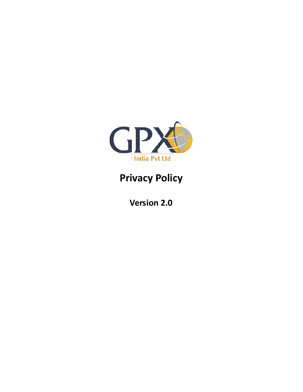

# Privacy Policy

Version 2.0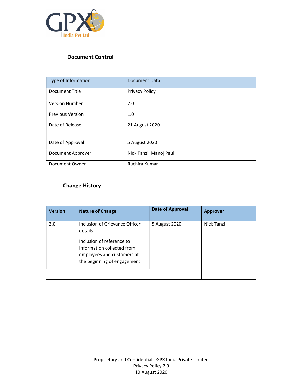

## Document Control

| Type of Information     | Document Data          |
|-------------------------|------------------------|
| Document Title          | <b>Privacy Policy</b>  |
| <b>Version Number</b>   | 2.0                    |
| <b>Previous Version</b> | 1.0                    |
| Date of Release         | 21 August 2020         |
| Date of Approval        | 5 August 2020          |
| Document Approver       | Nick Tanzi, Manoj Paul |
| Document Owner          | Ruchira Kumar          |

# Change History

| <b>Version</b> | <b>Nature of Change</b>                                                                                                                                           | <b>Date of Approval</b> | <b>Approver</b> |
|----------------|-------------------------------------------------------------------------------------------------------------------------------------------------------------------|-------------------------|-----------------|
| 2.0            | Inclusion of Grievance Officer<br>details<br>Inclusion of reference to<br>Information collected from<br>employees and customers at<br>the beginning of engagement | 5 August 2020           | Nick Tanzi      |
|                |                                                                                                                                                                   |                         |                 |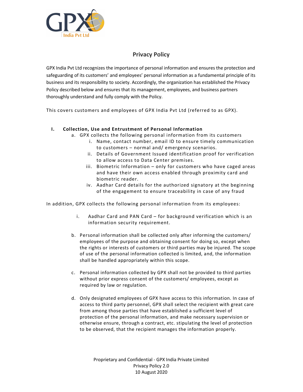

# Privacy Policy

GPX India Pvt Ltd recognizes the importance of personal information and ensures the protection and safeguarding of its customers' and employees' personal information as a fundamental principle of its business and its responsibility to society. Accordingly, the organization has established the Privacy Policy described below and ensures that its management, employees, and business partners thoroughly understand and fully comply with the Policy.

This covers customers and employees of GPX India Pvt Ltd (referred to as GPX).

## I. Collection, Use and Entrustment of Personal Information

- a. GPX collects the following personal information from its customers
	- i. Name, contact number, email ID to ensure timely communication to customers – normal and/ emergency scenarios.
	- ii. Details of Government Issued identification proof for verification to allow access to Data Center premises.
	- iii. Biometric Information only for customers who have caged areas and have their own access enabled through proximity card and biometric reader.
	- iv. Aadhar Card details for the authorized signatory at the beginning of the engagement to ensure traceability in case of any fraud

In addition, GPX collects the following personal information from its employees:

- i. Aadhar Card and PAN Card for background verification which is an information security requirement.
- b. Personal information shall be collected only after informing the customers/ employees of the purpose and obtaining consent for doing so, except when the rights or interests of customers or third parties may be injured. The scope of use of the personal information collected is limited, and, the information shall be handled appropriately within this scope.
- c. Personal information collected by GPX shall not be provided to third parties without prior express consent of the customers/ employees, except as required by law or regulation.
- d. Only designated employees of GPX have access to this information. In case of access to third party personnel, GPX shall select the recipient with great care from among those parties that have established a sufficient level of protection of the personal information, and make necessary supervision or otherwise ensure, through a contract, etc. stipulating the level of protection to be observed, that the recipient manages the information properly.

Proprietary and Confidential - GPX India Private Limited Privacy Policy 2.0 10 August 2020